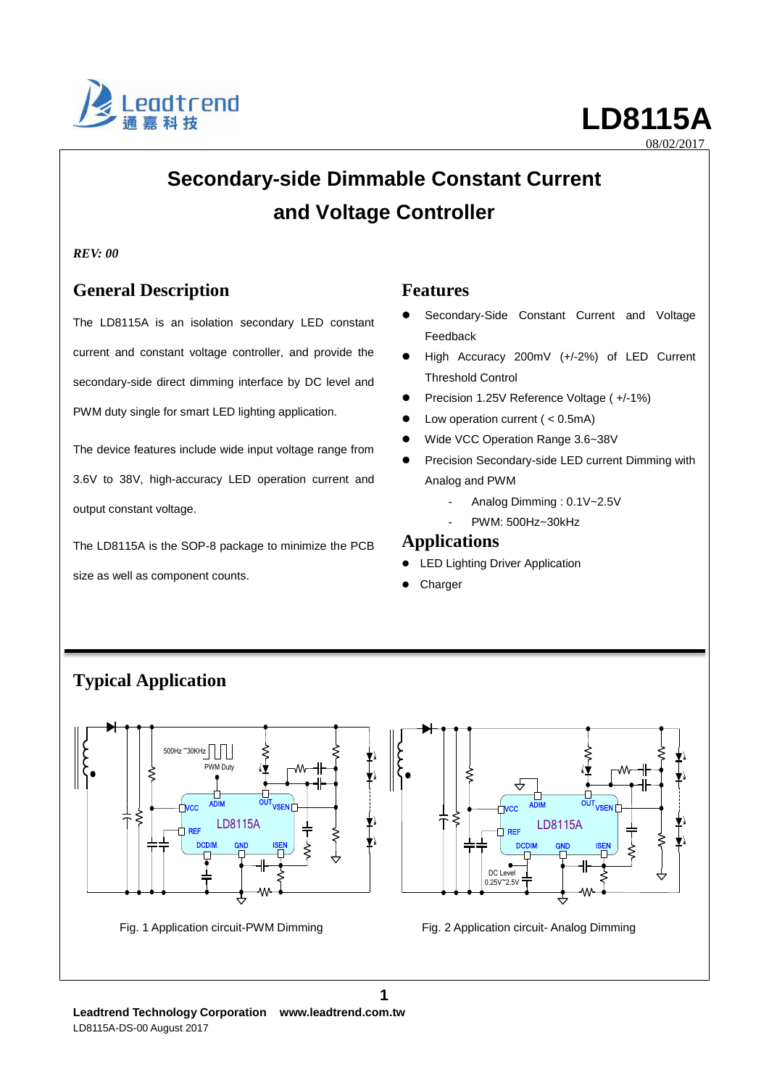

# **Secondary-side Dimmable Constant Current and Voltage Controller**

### *REV: 00*

# **General Description**

The LD8115A is an isolation secondary LED constant current and constant voltage controller, and provide the secondary-side direct dimming interface by DC level and PWM duty single for smart LED lighting application.

The device features include wide input voltage range from 3.6V to 38V, high-accuracy LED operation current and output constant voltage.

The LD8115A is the SOP-8 package to minimize the PCB size as well as component counts.

## **Features**

- Secondary-Side Constant Current and Voltage Feedback
- High Accuracy 200mV (+/-2%) of LED Current Threshold Control
- Precision 1.25V Reference Voltage ( +/-1%)
- Low operation current ( < 0.5mA)
- Wide VCC Operation Range 3.6~38V
- Precision Secondary-side LED current Dimming with Analog and PWM
	- Analog Dimming : 0.1V~2.5V
	- PWM: 500Hz~30kHz

### **Applications**

- LED Lighting Driver Application
- **Charger**



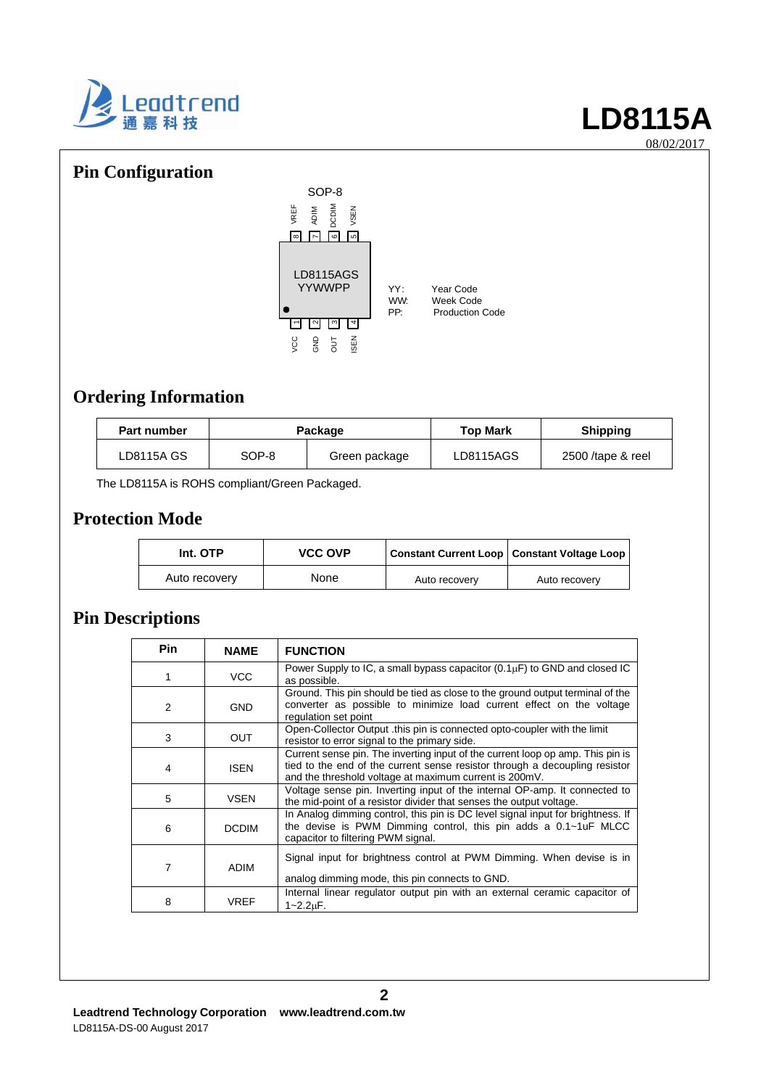

# **Pin Configuration**



# **Ordering Information**

| <b>Part number</b> | Package |               | <b>Top Mark</b> | <b>Shipping</b>     |
|--------------------|---------|---------------|-----------------|---------------------|
| LD8115A GS         | SOP-8   | Green package | LD8115AGS       | $2500$ /tape & reel |

The LD8115A is ROHS compliant/Green Packaged.

# **Protection Mode**

| Int. OTP      | <b>VCC OVP</b> | Constant Current Loop   Constant Voltage Loop |               |  |
|---------------|----------------|-----------------------------------------------|---------------|--|
| Auto recovery | None           | Auto recovery                                 | Auto recovery |  |

# **Pin Descriptions**

| <b>Pin</b> | <b>NAME</b>  | <b>FUNCTION</b>                                                                                                                                                                                                         |
|------------|--------------|-------------------------------------------------------------------------------------------------------------------------------------------------------------------------------------------------------------------------|
|            | VCC          | Power Supply to IC, a small bypass capacitor $(0.1 \mu F)$ to GND and closed IC<br>as possible.                                                                                                                         |
| 2          | <b>GND</b>   | Ground. This pin should be tied as close to the ground output terminal of the<br>converter as possible to minimize load current effect on the voltage<br>regulation set point                                           |
| 3          | OUT          | Open-Collector Output this pin is connected opto-coupler with the limit<br>resistor to error signal to the primary side.                                                                                                |
| 4          | <b>ISEN</b>  | Current sense pin. The inverting input of the current loop op amp. This pin is<br>tied to the end of the current sense resistor through a decoupling resistor<br>and the threshold voltage at maximum current is 200mV. |
| 5          | <b>VSEN</b>  | Voltage sense pin. Inverting input of the internal OP-amp. It connected to<br>the mid-point of a resistor divider that senses the output voltage.                                                                       |
| 6          | <b>DCDIM</b> | In Analog dimming control, this pin is DC level signal input for brightness. If<br>the devise is PWM Dimming control, this pin adds a 0.1~1uF MLCC<br>capacitor to filtering PWM signal.                                |
| 7          | ADIM         | Signal input for brightness control at PWM Dimming. When devise is in<br>analog dimming mode, this pin connects to GND.                                                                                                 |
| 8          | <b>VREF</b>  | Internal linear regulator output pin with an external ceramic capacitor of<br>$1 - 2.2 \mu F$ .                                                                                                                         |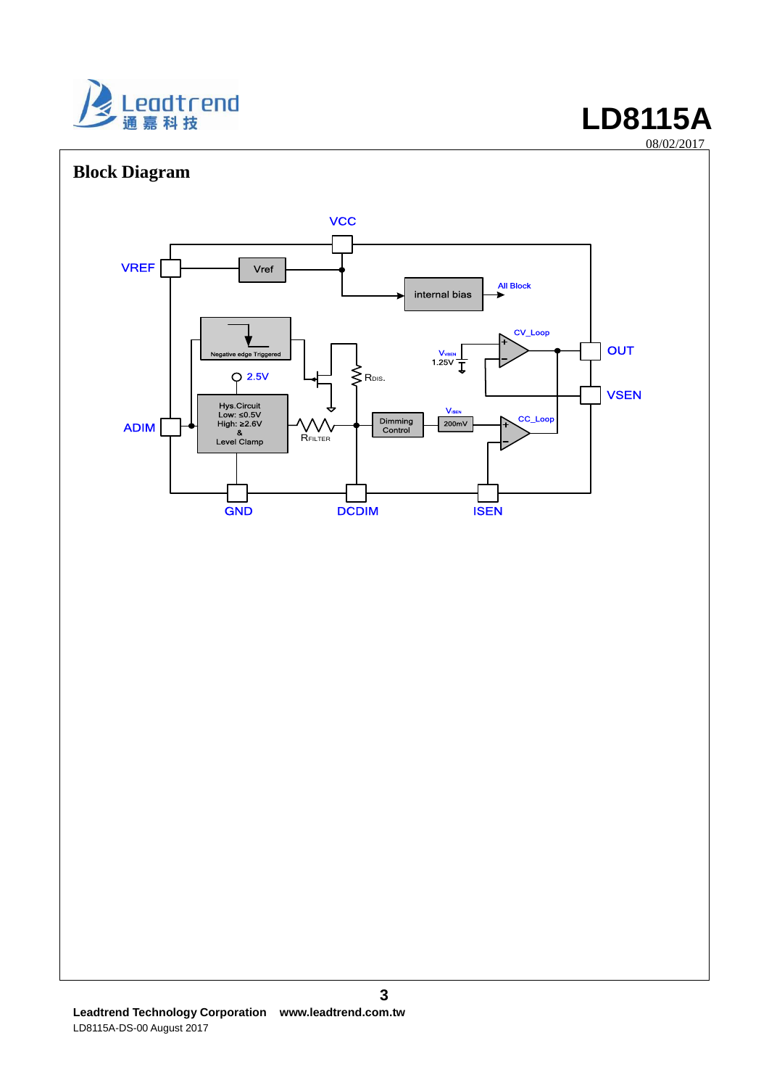

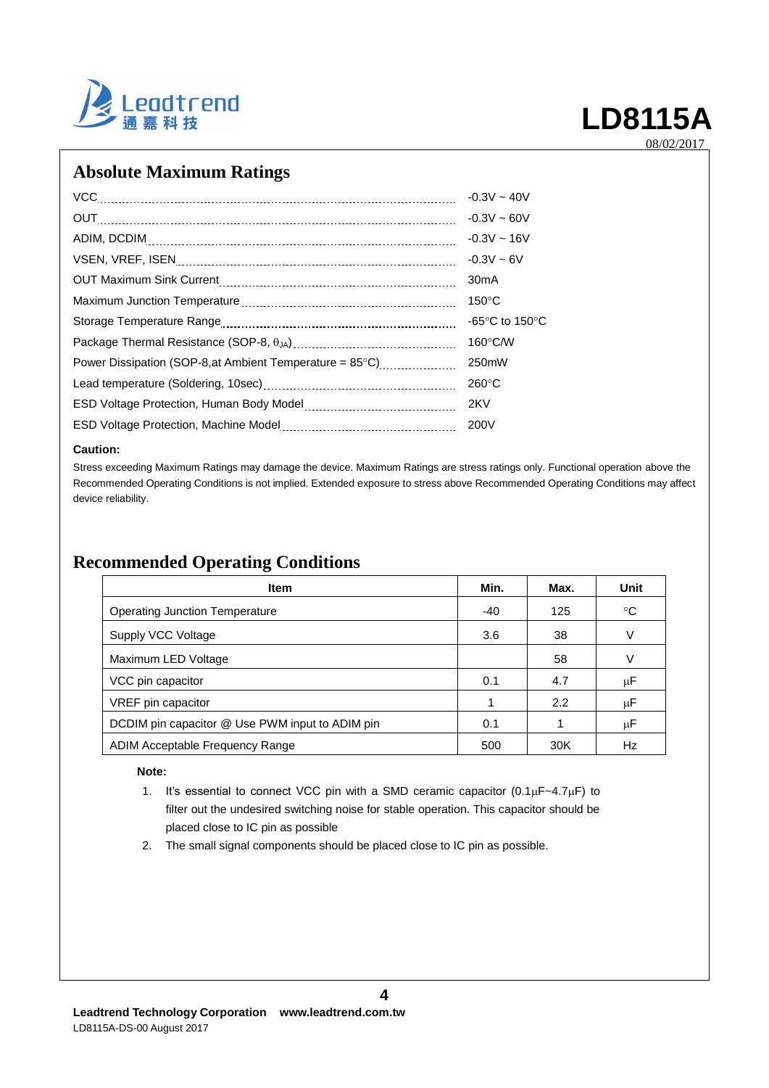

# **Absolute Maximum Ratings**

| VCC                                                      | $-0.3V - 40V$                      |
|----------------------------------------------------------|------------------------------------|
|                                                          | $-0.3V - 60V$                      |
|                                                          | $-0.3V - 16V$                      |
|                                                          | $-0.3V - 6V$                       |
|                                                          | 30 <sub>m</sub> A                  |
|                                                          | $150^{\circ}$ C                    |
|                                                          | -65 $\degree$ C to 150 $\degree$ C |
|                                                          | $160^{\circ}$ C/W                  |
| Power Dissipation (SOP-8, at Ambient Temperature = 85°C) | 250mW                              |
|                                                          | $260^{\circ}$ C                    |
|                                                          | 2KV                                |
|                                                          | 200V                               |
|                                                          |                                    |

### **Caution:**

Stress exceeding Maximum Ratings may damage the device. Maximum Ratings are stress ratings only. Functional operation above the Recommended Operating Conditions is not implied. Extended exposure to stress above Recommended Operating Conditions may affect device reliability.

# **Recommended Operating Conditions**

| <b>Item</b>                                     | Min. | Max. | Unit        |
|-------------------------------------------------|------|------|-------------|
| Operating Junction Temperature                  | -40  | 125  | $^{\circ}C$ |
| Supply VCC Voltage                              | 3.6  | 38   | V           |
| Maximum LED Voltage                             |      | 58   | V           |
| VCC pin capacitor                               | 0.1  | 4.7  | μF          |
| VREF pin capacitor                              | 1    | 2.2  | μF          |
| DCDIM pin capacitor @ Use PWM input to ADIM pin | 0.1  |      | μF          |
| ADIM Acceptable Frequency Range                 | 500  | 30K  | Hz          |

### **Note:**

1. It's essential to connect VCC pin with a SMD ceramic capacitor  $(0.1 \mu F - 4.7 \mu F)$  to filter out the undesired switching noise for stable operation. This capacitor should be placed close to IC pin as possible

**4**

2. The small signal components should be placed close to IC pin as possible.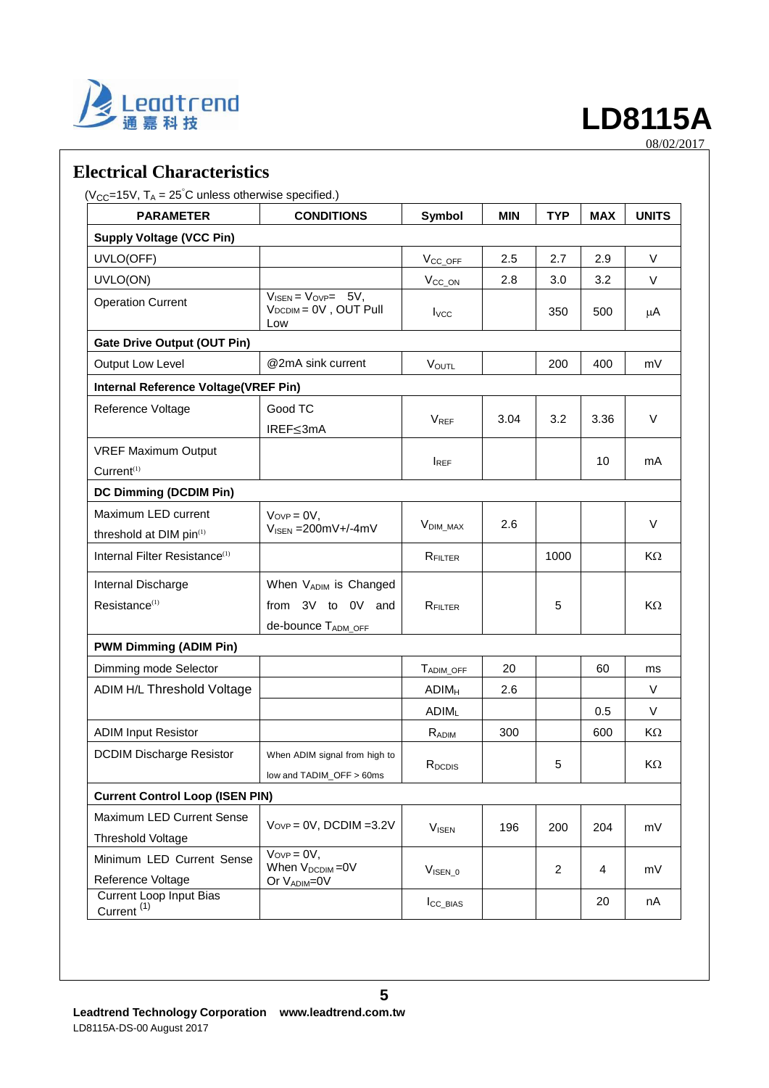

# **Electrical Characteristics**

 $(V_{CC} = 15V, T_A = 25^{\circ}C$  unless otherwise specified.)

| <b>PARAMETER</b>                                         | <b>CONDITIONS</b>                                                         |                         | <b>MIN</b> | <b>TYP</b>     | <b>MAX</b> | <b>UNITS</b> |
|----------------------------------------------------------|---------------------------------------------------------------------------|-------------------------|------------|----------------|------------|--------------|
| <b>Supply Voltage (VCC Pin)</b>                          |                                                                           |                         |            |                |            |              |
| UVLO(OFF)                                                |                                                                           | $V_{CC\_OFF}$           | 2.5        | 2.7            | 2.9        | V            |
| UVLO(ON)                                                 |                                                                           | V <sub>CC_ON</sub>      | 2.8        | 3.0            | 3.2        | V            |
| <b>Operation Current</b>                                 | $V_{\text{ISEN}} = V_{\text{OVP}} = 5V$ ,<br>VDCDIM = 0V, OUT Pull<br>Low | $I_{VCC}$               |            | 350            | 500        | μA           |
| <b>Gate Drive Output (OUT Pin)</b>                       |                                                                           |                         |            |                |            |              |
| Output Low Level                                         | @2mA sink current                                                         | <b>VOUTL</b>            |            | 200            | 400        | mV           |
| Internal Reference Voltage(VREF Pin)                     |                                                                           |                         |            |                |            |              |
| Reference Voltage                                        | Good TC<br>IREF≤3mA                                                       | <b>VREF</b>             | 3.04       | 3.2            | 3.36       | V            |
| <b>VREF Maximum Output</b><br>Current <sup>(1)</sup>     |                                                                           | $I_{REF}$               |            |                | 10         | mA           |
| <b>DC Dimming (DCDIM Pin)</b>                            |                                                                           |                         |            |                |            |              |
| Maximum LED current<br>threshold at DIM pin(1)           | $V_{OVP} = 0V$ ,<br>$V_{\text{ISEN}} = 200 \text{mV} + (-4 \text{mV})$    | V <sub>DIM</sub> MAX    | 2.6        |                |            | V            |
| Internal Filter Resistance <sup>(1)</sup>                |                                                                           | RFILTER                 |            | 1000           |            | KΩ           |
| Internal Discharge<br>Resistance <sup>(1)</sup>          | When VADIM is Changed<br>from 3V to 0V and                                | RFILTER                 |            | 5              |            | KΩ           |
|                                                          | de-bounce TADM_OFF                                                        |                         |            |                |            |              |
| <b>PWM Dimming (ADIM Pin)</b>                            |                                                                           |                         |            |                |            |              |
| Dimming mode Selector                                    |                                                                           | TADIM_OFF               | 20         |                | 60         | ms           |
| ADIM H/L Threshold Voltage                               |                                                                           | <b>ADIM<sub>H</sub></b> | 2.6        |                |            | V            |
|                                                          |                                                                           | <b>ADIML</b>            |            |                | 0.5        | V            |
| <b>ADIM Input Resistor</b>                               |                                                                           | RADIM                   | 300        |                | 600        | KΩ           |
| <b>DCDIM Discharge Resistor</b>                          | When ADIM signal from high to<br>low and TADIM OFF > 60ms                 | R <sub>DCDIS</sub>      |            | 5              |            | KΩ           |
| <b>Current Control Loop (ISEN PIN)</b>                   |                                                                           |                         |            |                |            |              |
| Maximum LED Current Sense<br><b>Threshold Voltage</b>    | $V_{OVP} = 0V$ , DCDIM = 3.2V                                             | <b>VISEN</b>            | 196        | 200            | 204        | mV           |
| Minimum LED Current Sense<br>Reference Voltage           | $V_{OVP} = 0V$ ,<br>When V <sub>DCDIM</sub> =0V<br>Or VADIM=0V            | $VISEN_0$               |            | $\overline{c}$ | 4          | mV           |
| <b>Current Loop Input Bias</b><br>Current <sup>(1)</sup> |                                                                           | $I_{CC\_BIAS}$          |            |                | 20         | nA           |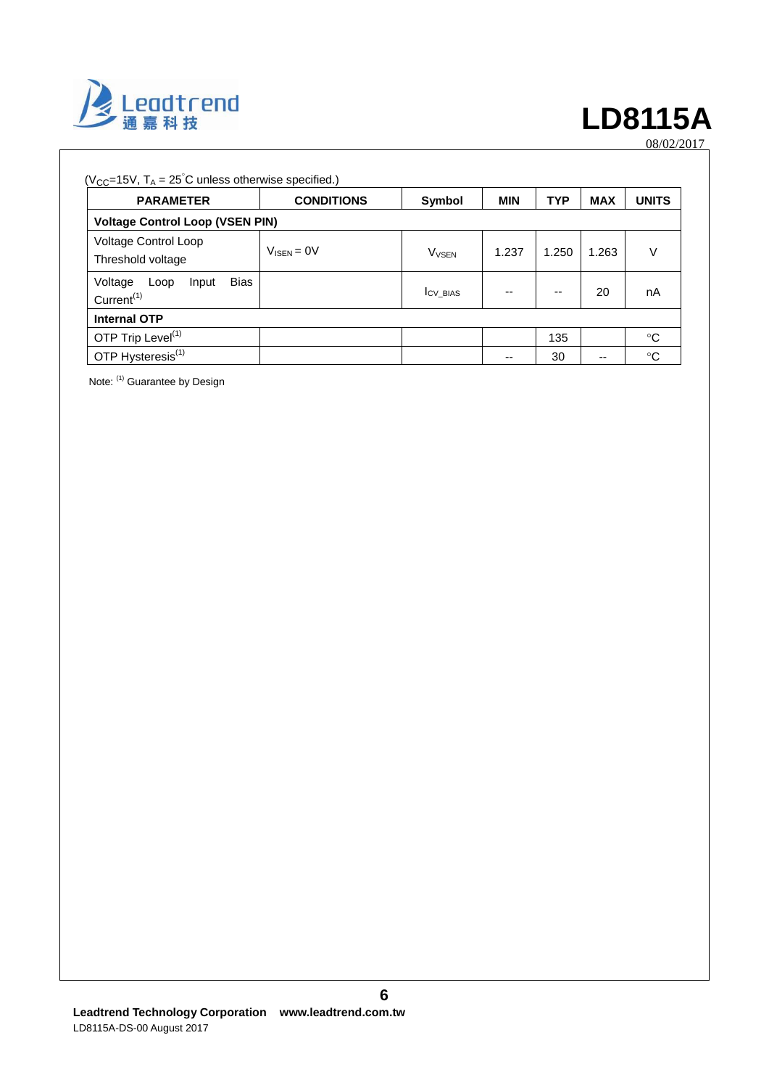

| $(V_{CC} = 15V, T_A = 25^{\circ}C$ unless otherwise specified.)   |                        |                         |            |            |            |              |
|-------------------------------------------------------------------|------------------------|-------------------------|------------|------------|------------|--------------|
| <b>PARAMETER</b>                                                  | <b>CONDITIONS</b>      | Symbol                  | <b>MIN</b> | <b>TYP</b> | <b>MAX</b> | <b>UNITS</b> |
| <b>Voltage Control Loop (VSEN PIN)</b>                            |                        |                         |            |            |            |              |
| Voltage Control Loop<br>Threshold voltage                         | $V_{\text{ISFN}} = 0V$ | <b>V<sub>VSEN</sub></b> | 1.237      | 1.250      | 1.263      | V            |
| <b>Bias</b><br>Voltage<br>Input<br>Loop<br>Current <sup>(1)</sup> |                        | <b>ICV BIAS</b>         | --         | --         | 20         | nA           |
| <b>Internal OTP</b>                                               |                        |                         |            |            |            |              |
| OTP Trip Level <sup>(1)</sup>                                     |                        |                         |            | 135        |            | °C           |
| OTP Hysteresis <sup>(1)</sup>                                     |                        |                         | --         | 30         | --         | °C           |

Note: (1) Guarantee by Design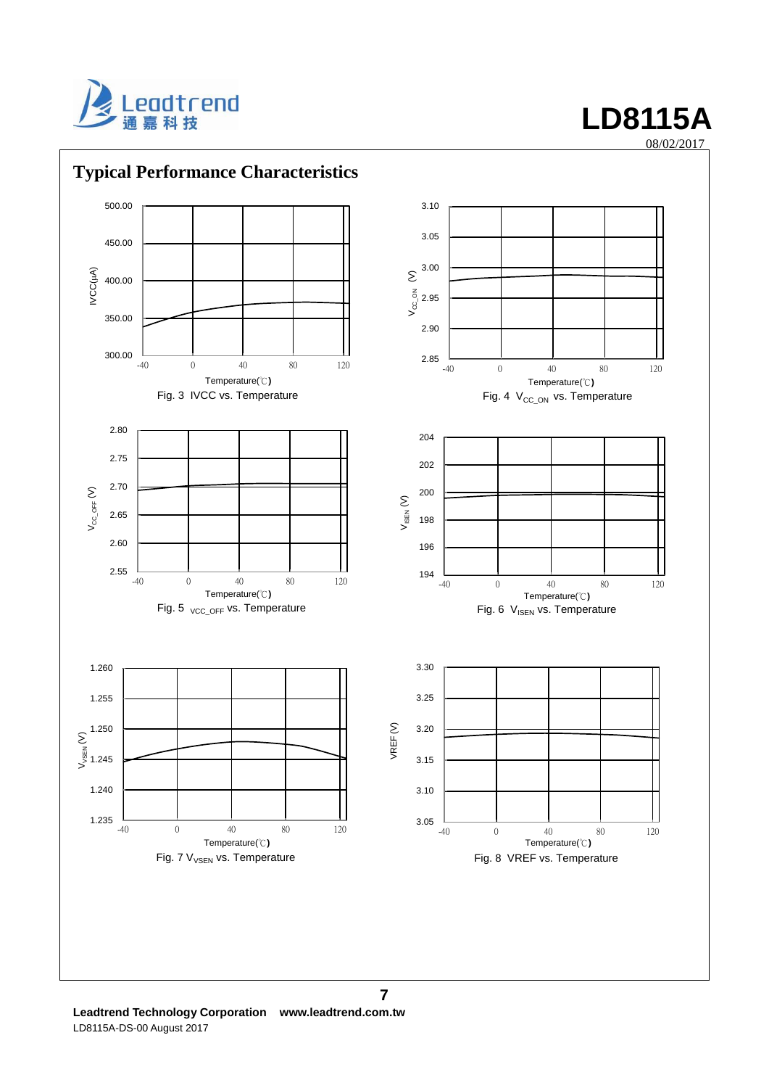

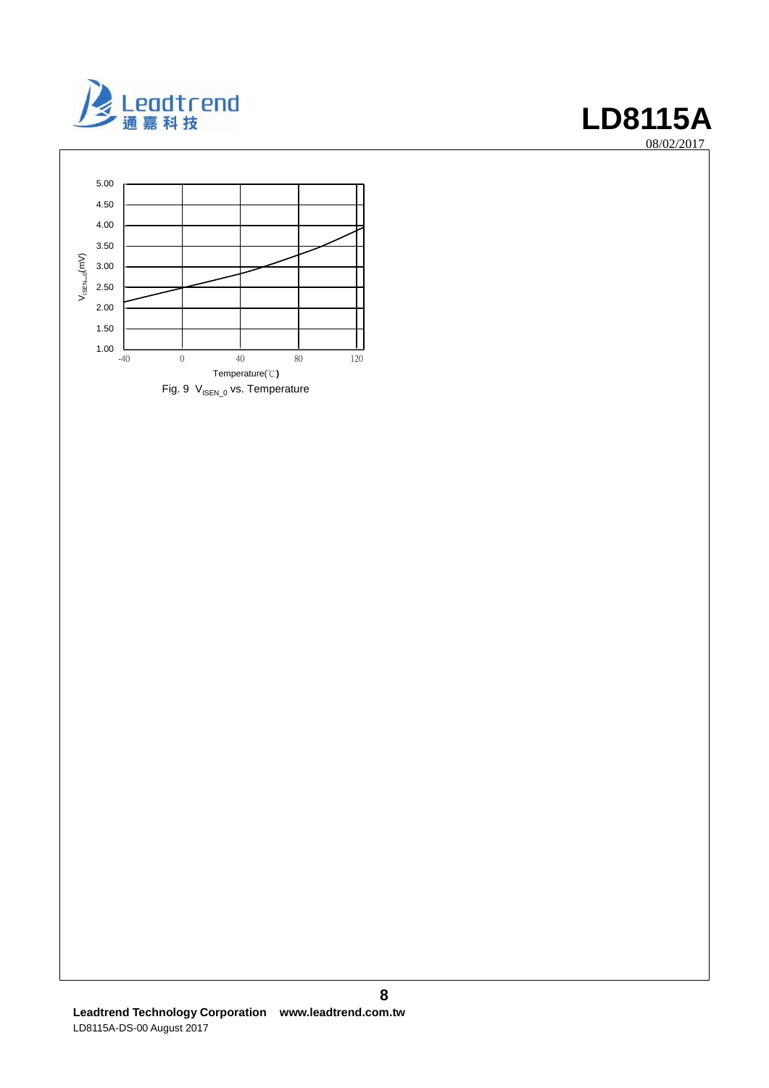

08/02/2017

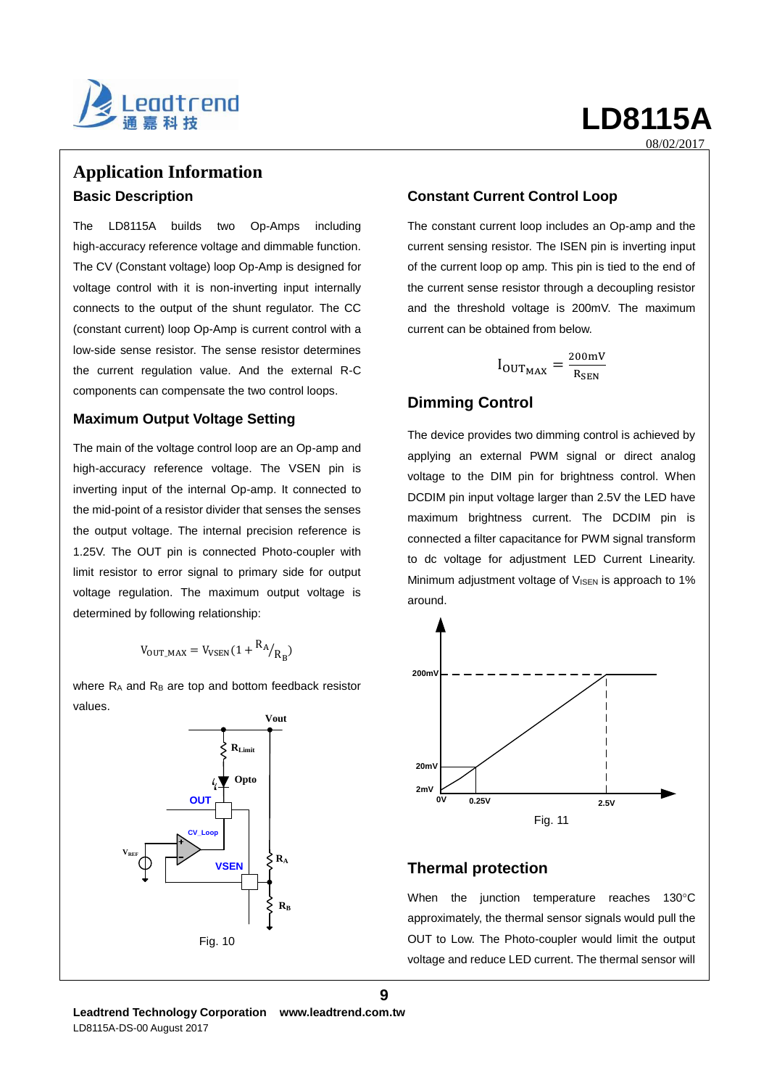

# **Application Information Basic Description**

The LD8115A builds two Op-Amps including high-accuracy reference voltage and dimmable function. The CV (Constant voltage) loop Op-Amp is designed for voltage control with it is non-inverting input internally connects to the output of the shunt regulator. The CC (constant current) loop Op-Amp is current control with a low-side sense resistor. The sense resistor determines the current regulation value. And the external R-C components can compensate the two control loops.

### **Maximum Output Voltage Setting**

The main of the voltage control loop are an Op-amp and high-accuracy reference voltage. The VSEN pin is inverting input of the internal Op-amp. It connected to the mid-point of a resistor divider that senses the senses the output voltage. The internal precision reference is 1.25V. The OUT pin is connected Photo-coupler with limit resistor to error signal to primary side for output voltage regulation. The maximum output voltage is determined by following relationship:

$$
V_{\text{OUT\_MAX}} = V_{\text{VSEN}}(1 + \frac{R_A}{R_B})
$$

where  $R_A$  and  $R_B$  are top and bottom feedback resistor values.



### **Constant Current Control Loop**

The constant current loop includes an Op-amp and the current sensing resistor. The ISEN pin is inverting input of the current loop op amp. This pin is tied to the end of the current sense resistor through a decoupling resistor and the threshold voltage is 200mV. The maximum current can be obtained from below.

$$
I_{\text{OUT}_{\text{MAX}}} = \frac{\text{200mV}}{\text{R}_{\text{SEN}}}
$$

## **Dimming Control**

The device provides two dimming control is achieved by applying an external PWM signal or direct analog voltage to the DIM pin for brightness control. When DCDIM pin input voltage larger than 2.5V the LED have maximum brightness current. The DCDIM pin is connected a filter capacitance for PWM signal transform to dc voltage for adjustment LED Current Linearity. Minimum adjustment voltage of  $V_{\text{JSEN}}$  is approach to 1% around.



## **Thermal protection**

**9**

When the junction temperature reaches  $130^{\circ}$ C approximately, the thermal sensor signals would pull the OUT to Low. The Photo-coupler would limit the output voltage and reduce LED current. The thermal sensor will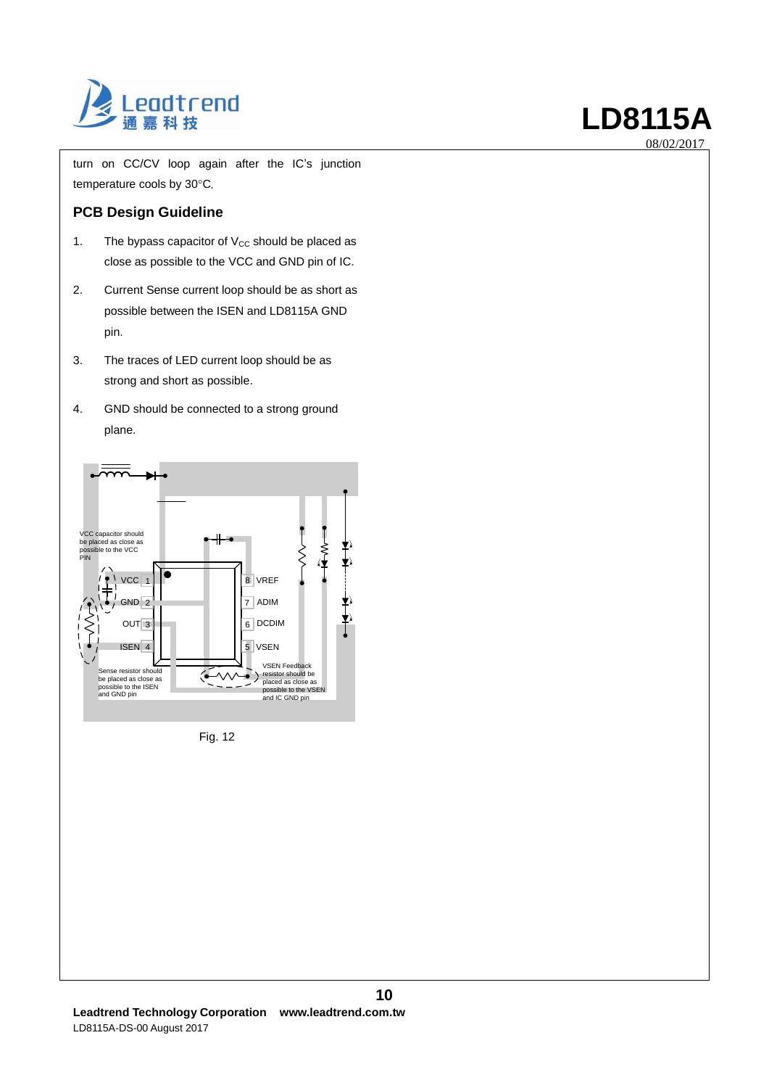

turn on CC/CV loop again after the IC's junction temperature cools by 30°C.

### **PCB Design Guideline**

- 1. The bypass capacitor of  $V_{CC}$  should be placed as close as possible to the VCC and GND pin of IC.
- 2. Current Sense current loop should be as short as possible between the ISEN and LD8115A GND pin.
- 3. The traces of LED current loop should be as strong and short as possible.
- 4. GND should be connected to a strong ground plane.



Fig. 12

**10**

08/02/2017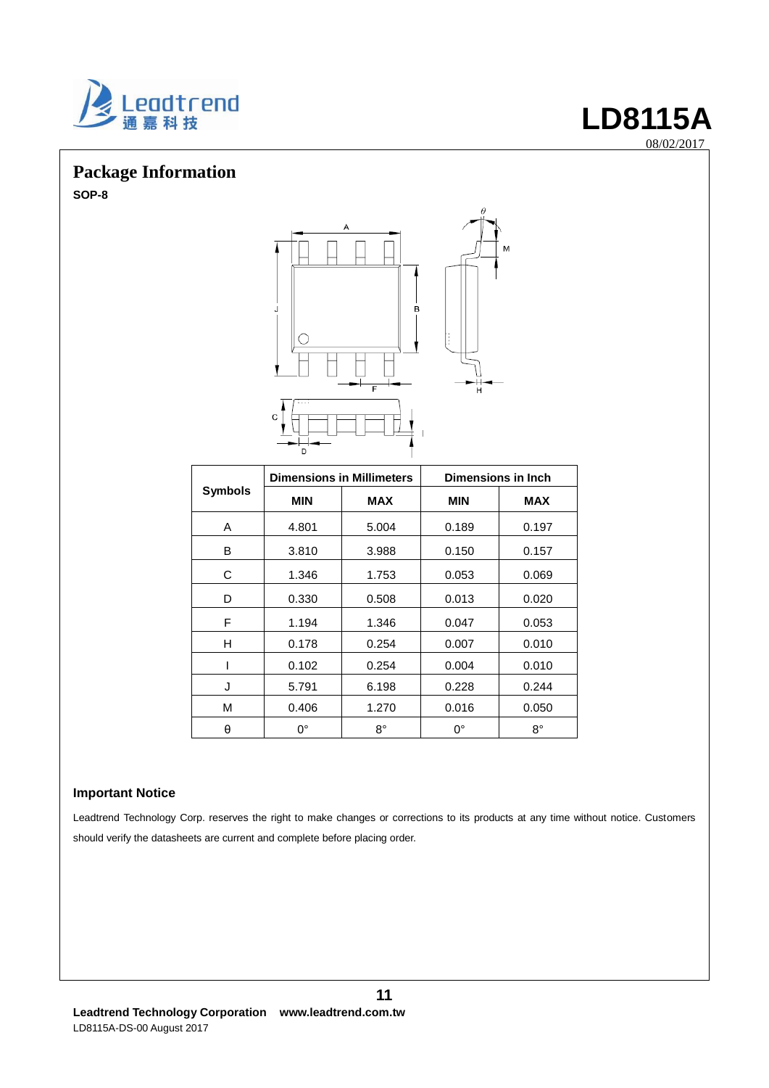

# **Package Information**

**SOP-8**



|                | <b>Dimensions in Millimeters</b> |             | Dimensions in Inch |            |  |
|----------------|----------------------------------|-------------|--------------------|------------|--|
| <b>Symbols</b> | <b>MIN</b>                       | <b>MAX</b>  | <b>MIN</b>         | <b>MAX</b> |  |
| A              | 4.801                            | 5.004       | 0.189              | 0.197      |  |
| B              | 3.810                            | 3.988       | 0.150              | 0.157      |  |
| C              | 1.346                            | 1.753       | 0.053              | 0.069      |  |
| D              | 0.330                            | 0.508       | 0.013              | 0.020      |  |
| F              | 1.194                            | 1.346       | 0.047              | 0.053      |  |
| н              | 0.178                            | 0.254       | 0.007              | 0.010      |  |
| I              | 0.102                            | 0.254       | 0.004              | 0.010      |  |
| J              | 5.791                            | 6.198       | 0.228              | 0.244      |  |
| M              | 0.406                            | 1.270       | 0.016              | 0.050      |  |
| θ              | $0^{\circ}$                      | $8^{\circ}$ | $0^{\circ}$        | 8°         |  |

### **Important Notice**

Leadtrend Technology Corp. reserves the right to make changes or corrections to its products at any time without notice. Customers should verify the datasheets are current and complete before placing order.